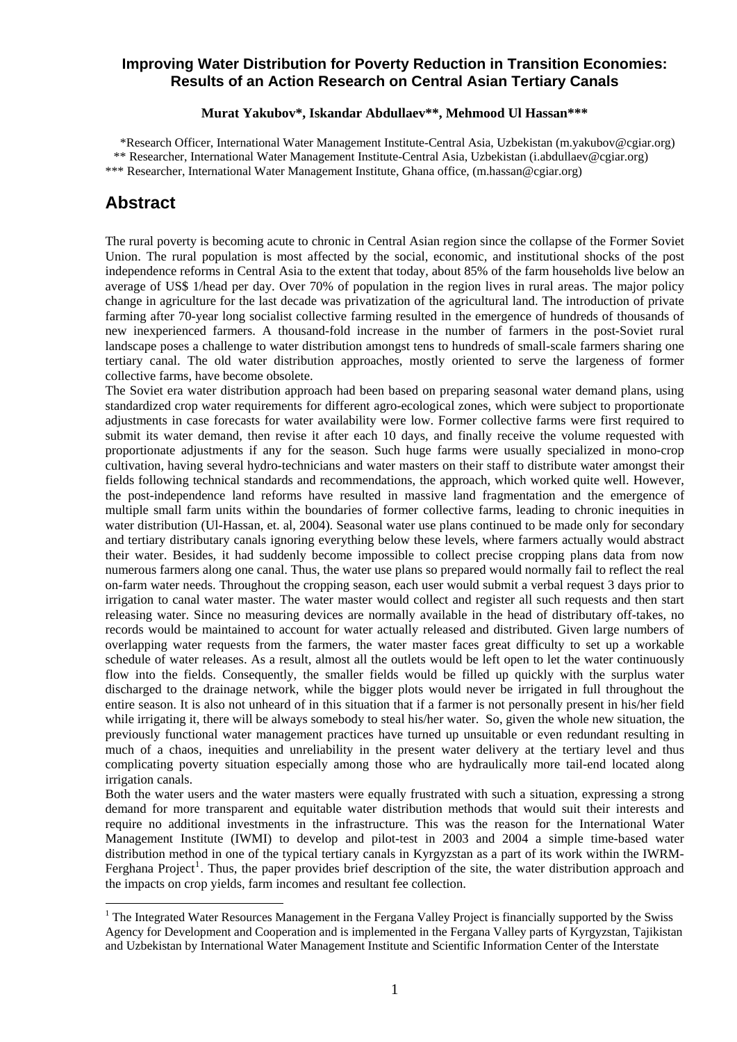### **Improving Water Distribution for Poverty Reduction in Transition Economies: Results of an Action Research on Central Asian Tertiary Canals**

#### **Murat Yakubov\*, Iskandar Abdullaev\*\*, Mehmood Ul Hassan\*\*\***

\*Research Officer, International Water Management Institute-Central Asia, Uzbekistan (m.yakubov@cgiar.org) \*\* Researcher, International Water Management Institute-Central Asia, Uzbekistan (i.abdullaev@cgiar.org) \*\*\* Researcher, International Water Management Institute, Ghana office, (m.hassan@cgiar.org)

## **Abstract**

1

The rural poverty is becoming acute to chronic in Central Asian region since the collapse of the Former Soviet Union. The rural population is most affected by the social, economic, and institutional shocks of the post independence reforms in Central Asia to the extent that today, about 85% of the farm households live below an average of US\$ 1/head per day. Over 70% of population in the region lives in rural areas. The major policy change in agriculture for the last decade was privatization of the agricultural land. The introduction of private farming after 70-year long socialist collective farming resulted in the emergence of hundreds of thousands of new inexperienced farmers. A thousand-fold increase in the number of farmers in the post-Soviet rural landscape poses a challenge to water distribution amongst tens to hundreds of small-scale farmers sharing one tertiary canal. The old water distribution approaches, mostly oriented to serve the largeness of former collective farms, have become obsolete.

The Soviet era water distribution approach had been based on preparing seasonal water demand plans, using standardized crop water requirements for different agro-ecological zones, which were subject to proportionate adjustments in case forecasts for water availability were low. Former collective farms were first required to submit its water demand, then revise it after each 10 days, and finally receive the volume requested with proportionate adjustments if any for the season. Such huge farms were usually specialized in mono-crop cultivation, having several hydro-technicians and water masters on their staff to distribute water amongst their fields following technical standards and recommendations, the approach, which worked quite well. However, the post-independence land reforms have resulted in massive land fragmentation and the emergence of multiple small farm units within the boundaries of former collective farms, leading to chronic inequities in water distribution (Ul-Hassan, et. al, 2004). Seasonal water use plans continued to be made only for secondary and tertiary distributary canals ignoring everything below these levels, where farmers actually would abstract their water. Besides, it had suddenly become impossible to collect precise cropping plans data from now numerous farmers along one canal. Thus, the water use plans so prepared would normally fail to reflect the real on-farm water needs. Throughout the cropping season, each user would submit a verbal request 3 days prior to irrigation to canal water master. The water master would collect and register all such requests and then start releasing water. Since no measuring devices are normally available in the head of distributary off-takes, no records would be maintained to account for water actually released and distributed. Given large numbers of overlapping water requests from the farmers, the water master faces great difficulty to set up a workable schedule of water releases. As a result, almost all the outlets would be left open to let the water continuously flow into the fields. Consequently, the smaller fields would be filled up quickly with the surplus water discharged to the drainage network, while the bigger plots would never be irrigated in full throughout the entire season. It is also not unheard of in this situation that if a farmer is not personally present in his/her field while irrigating it, there will be always somebody to steal his/her water. So, given the whole new situation, the previously functional water management practices have turned up unsuitable or even redundant resulting in much of a chaos, inequities and unreliability in the present water delivery at the tertiary level and thus complicating poverty situation especially among those who are hydraulically more tail-end located along irrigation canals.

Both the water users and the water masters were equally frustrated with such a situation, expressing a strong demand for more transparent and equitable water distribution methods that would suit their interests and require no additional investments in the infrastructure. This was the reason for the International Water Management Institute (IWMI) to develop and pilot-test in 2003 and 2004 a simple time-based water distribution method in one of the typical tertiary canals in Kyrgyzstan as a part of its work within the IWRM-Ferghana Project<sup>[1](#page-0-0)</sup>. Thus, the paper provides brief description of the site, the water distribution approach and the impacts on crop yields, farm incomes and resultant fee collection.

<span id="page-0-0"></span><sup>&</sup>lt;sup>1</sup> The Integrated Water Resources Management in the Fergana Valley Project is financially supported by the Swiss Agency for Development and Cooperation and is implemented in the Fergana Valley parts of Kyrgyzstan, Tajikistan and Uzbekistan by International Water Management Institute and Scientific Information Center of the Interstate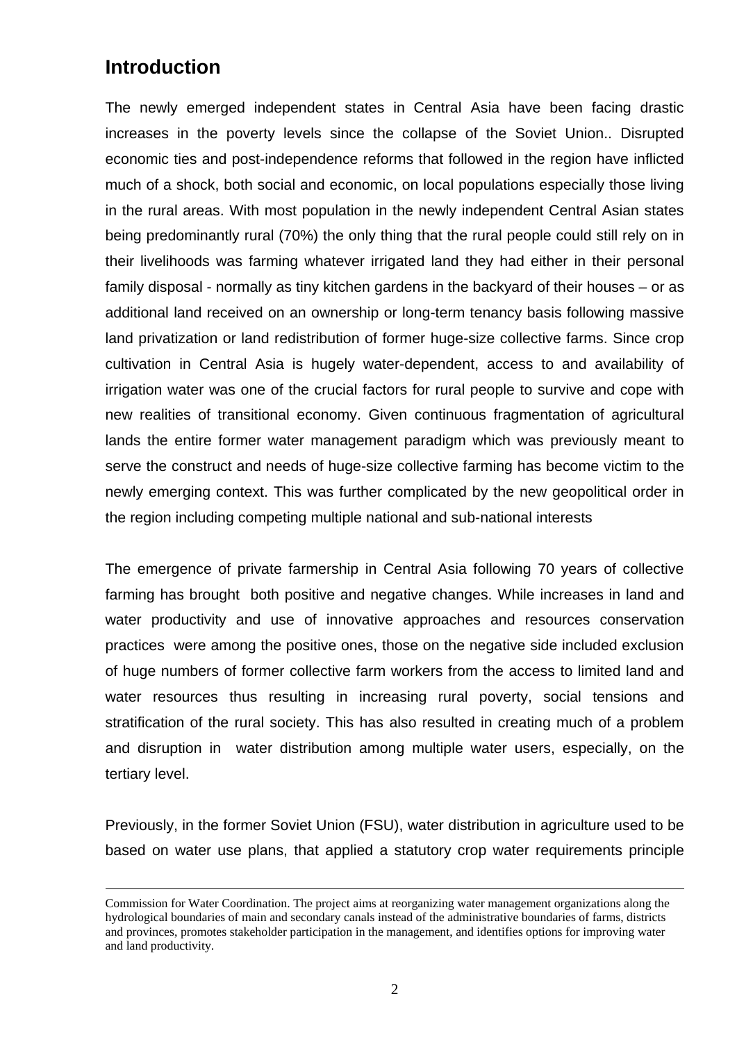# **Introduction**

The newly emerged independent states in Central Asia have been facing drastic increases in the poverty levels since the collapse of the Soviet Union.. Disrupted economic ties and post-independence reforms that followed in the region have inflicted much of a shock, both social and economic, on local populations especially those living in the rural areas. With most population in the newly independent Central Asian states being predominantly rural (70%) the only thing that the rural people could still rely on in their livelihoods was farming whatever irrigated land they had either in their personal family disposal - normally as tiny kitchen gardens in the backyard of their houses – or as additional land received on an ownership or long-term tenancy basis following massive land privatization or land redistribution of former huge-size collective farms. Since crop cultivation in Central Asia is hugely water-dependent, access to and availability of irrigation water was one of the crucial factors for rural people to survive and cope with new realities of transitional economy. Given continuous fragmentation of agricultural lands the entire former water management paradigm which was previously meant to serve the construct and needs of huge-size collective farming has become victim to the newly emerging context. This was further complicated by the new geopolitical order in the region including competing multiple national and sub-national interests

The emergence of private farmership in Central Asia following 70 years of collective farming has brought both positive and negative changes. While increases in land and water productivity and use of innovative approaches and resources conservation practices were among the positive ones, those on the negative side included exclusion of huge numbers of former collective farm workers from the access to limited land and water resources thus resulting in increasing rural poverty, social tensions and stratification of the rural society. This has also resulted in creating much of a problem and disruption in water distribution among multiple water users, especially, on the tertiary level.

Previously, in the former Soviet Union (FSU), water distribution in agriculture used to be based on water use plans, that applied a statutory crop water requirements principle

Commission for Water Coordination. The project aims at reorganizing water management organizations along the hydrological boundaries of main and secondary canals instead of the administrative boundaries of farms, districts and provinces, promotes stakeholder participation in the management, and identifies options for improving water and land productivity.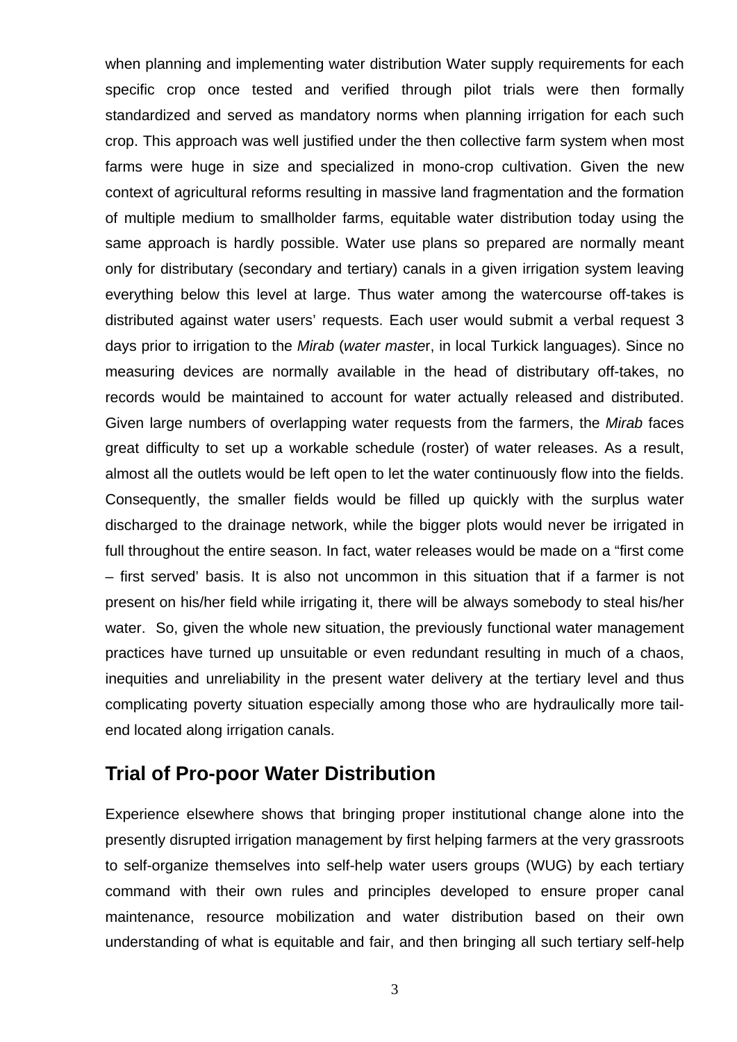when planning and implementing water distribution Water supply requirements for each specific crop once tested and verified through pilot trials were then formally standardized and served as mandatory norms when planning irrigation for each such crop. This approach was well justified under the then collective farm system when most farms were huge in size and specialized in mono-crop cultivation. Given the new context of agricultural reforms resulting in massive land fragmentation and the formation of multiple medium to smallholder farms, equitable water distribution today using the same approach is hardly possible. Water use plans so prepared are normally meant only for distributary (secondary and tertiary) canals in a given irrigation system leaving everything below this level at large. Thus water among the watercourse off-takes is distributed against water users' requests. Each user would submit a verbal request 3 days prior to irrigation to the *Mirab* (*water maste*r, in local Turkick languages). Since no measuring devices are normally available in the head of distributary off-takes, no records would be maintained to account for water actually released and distributed. Given large numbers of overlapping water requests from the farmers, the *Mirab* faces great difficulty to set up a workable schedule (roster) of water releases. As a result, almost all the outlets would be left open to let the water continuously flow into the fields. Consequently, the smaller fields would be filled up quickly with the surplus water discharged to the drainage network, while the bigger plots would never be irrigated in full throughout the entire season. In fact, water releases would be made on a "first come – first served' basis. It is also not uncommon in this situation that if a farmer is not present on his/her field while irrigating it, there will be always somebody to steal his/her water. So, given the whole new situation, the previously functional water management practices have turned up unsuitable or even redundant resulting in much of a chaos, inequities and unreliability in the present water delivery at the tertiary level and thus complicating poverty situation especially among those who are hydraulically more tailend located along irrigation canals.

## **Trial of Pro-poor Water Distribution**

Experience elsewhere shows that bringing proper institutional change alone into the presently disrupted irrigation management by first helping farmers at the very grassroots to self-organize themselves into self-help water users groups (WUG) by each tertiary command with their own rules and principles developed to ensure proper canal maintenance, resource mobilization and water distribution based on their own understanding of what is equitable and fair, and then bringing all such tertiary self-help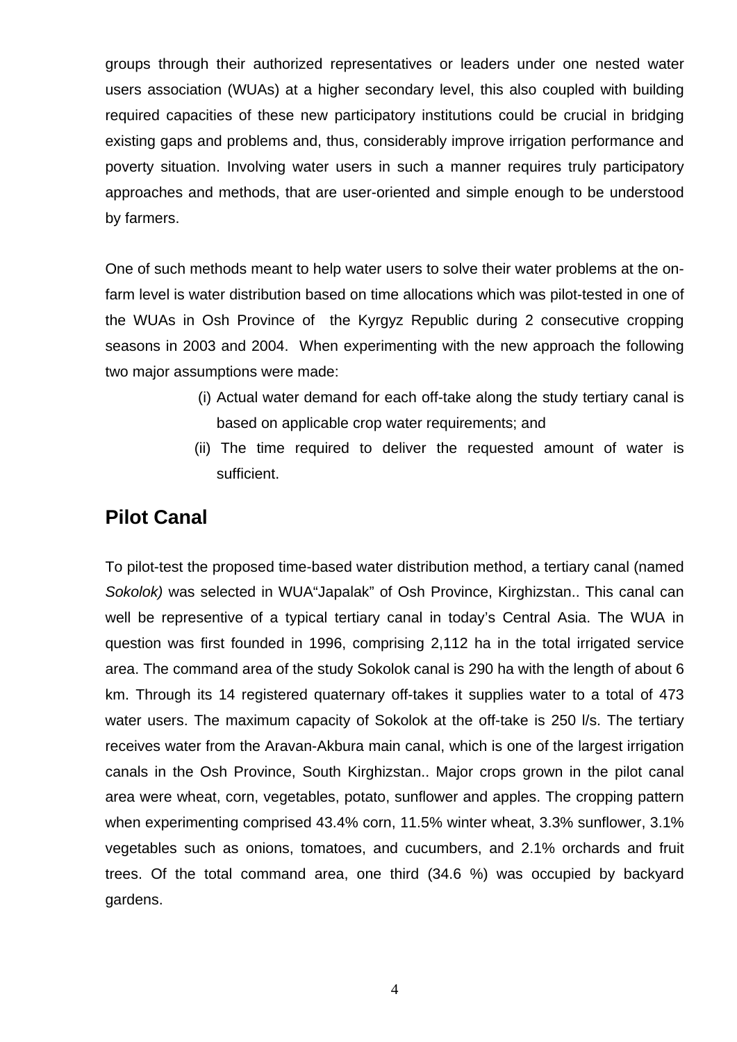groups through their authorized representatives or leaders under one nested water users association (WUAs) at a higher secondary level, this also coupled with building required capacities of these new participatory institutions could be crucial in bridging existing gaps and problems and, thus, considerably improve irrigation performance and poverty situation. Involving water users in such a manner requires truly participatory approaches and methods, that are user-oriented and simple enough to be understood by farmers.

One of such methods meant to help water users to solve their water problems at the onfarm level is water distribution based on time allocations which was pilot-tested in one of the WUAs in Osh Province of the Kyrgyz Republic during 2 consecutive cropping seasons in 2003 and 2004. When experimenting with the new approach the following two major assumptions were made:

- (i) Actual water demand for each off-take along the study tertiary canal is based on applicable crop water requirements; and
- (ii) The time required to deliver the requested amount of water is sufficient.

# **Pilot Canal**

To pilot-test the proposed time-based water distribution method, a tertiary canal (named *Sokolok)* was selected in WUA"Japalak" of Osh Province, Kirghizstan.. This canal can well be representive of a typical tertiary canal in today's Central Asia. The WUA in question was first founded in 1996, comprising 2,112 ha in the total irrigated service area. The command area of the study Sokolok canal is 290 ha with the length of about 6 km. Through its 14 registered quaternary off-takes it supplies water to a total of 473 water users. The maximum capacity of Sokolok at the off-take is 250 l/s. The tertiary receives water from the Aravan-Akbura main canal, which is one of the largest irrigation canals in the Osh Province, South Kirghizstan.. Major crops grown in the pilot canal area were wheat, corn, vegetables, potato, sunflower and apples. The cropping pattern when experimenting comprised 43.4% corn, 11.5% winter wheat, 3.3% sunflower, 3.1% vegetables such as onions, tomatoes, and cucumbers, and 2.1% orchards and fruit trees. Of the total command area, one third (34.6 %) was occupied by backyard gardens.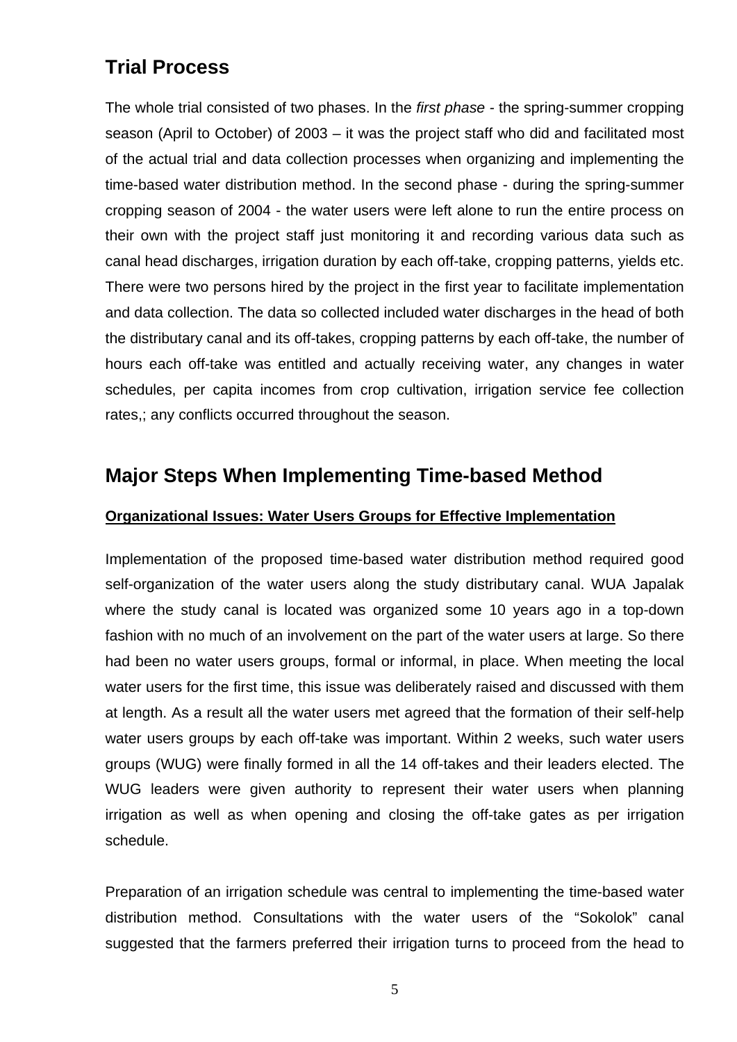# **Trial Process**

The whole trial consisted of two phases. In the *first phase -* the spring-summer cropping season (April to October) of 2003 – it was the project staff who did and facilitated most of the actual trial and data collection processes when organizing and implementing the time-based water distribution method. In the second phase - during the spring-summer cropping season of 2004 - the water users were left alone to run the entire process on their own with the project staff just monitoring it and recording various data such as canal head discharges, irrigation duration by each off-take, cropping patterns, yields etc. There were two persons hired by the project in the first year to facilitate implementation and data collection. The data so collected included water discharges in the head of both the distributary canal and its off-takes, cropping patterns by each off-take, the number of hours each off-take was entitled and actually receiving water, any changes in water schedules, per capita incomes from crop cultivation, irrigation service fee collection rates,; any conflicts occurred throughout the season.

## **Major Steps When Implementing Time-based Method**

## **Organizational Issues: Water Users Groups for Effective Implementation**

Implementation of the proposed time-based water distribution method required good self-organization of the water users along the study distributary canal. WUA Japalak where the study canal is located was organized some 10 years ago in a top-down fashion with no much of an involvement on the part of the water users at large. So there had been no water users groups, formal or informal, in place. When meeting the local water users for the first time, this issue was deliberately raised and discussed with them at length. As a result all the water users met agreed that the formation of their self-help water users groups by each off-take was important. Within 2 weeks, such water users groups (WUG) were finally formed in all the 14 off-takes and their leaders elected. The WUG leaders were given authority to represent their water users when planning irrigation as well as when opening and closing the off-take gates as per irrigation schedule.

Preparation of an irrigation schedule was central to implementing the time-based water distribution method. Consultations with the water users of the "Sokolok" canal suggested that the farmers preferred their irrigation turns to proceed from the head to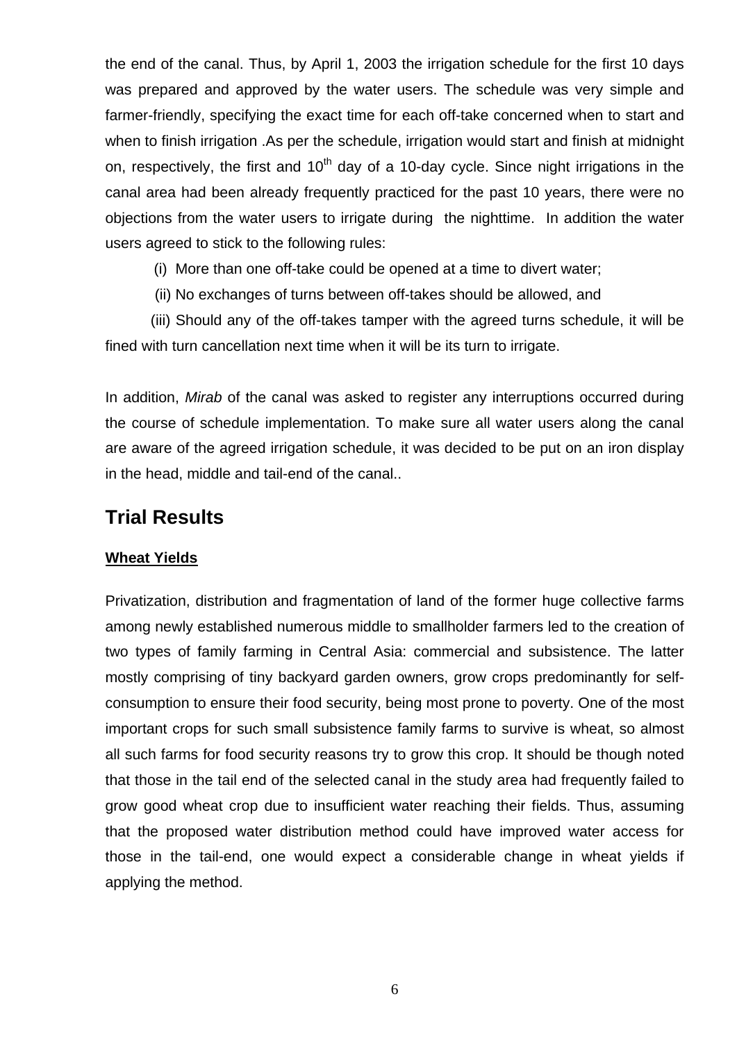the end of the canal. Thus, by April 1, 2003 the irrigation schedule for the first 10 days was prepared and approved by the water users. The schedule was very simple and farmer-friendly, specifying the exact time for each off-take concerned when to start and when to finish irrigation .As per the schedule, irrigation would start and finish at midnight on, respectively, the first and  $10<sup>th</sup>$  day of a 10-day cycle. Since night irrigations in the canal area had been already frequently practiced for the past 10 years, there were no objections from the water users to irrigate during the nighttime. In addition the water users agreed to stick to the following rules:

- (i) More than one off-take could be opened at a time to divert water;
- (ii) No exchanges of turns between off-takes should be allowed, and

 (iii) Should any of the off-takes tamper with the agreed turns schedule, it will be fined with turn cancellation next time when it will be its turn to irrigate.

In addition, *Mirab* of the canal was asked to register any interruptions occurred during the course of schedule implementation. To make sure all water users along the canal are aware of the agreed irrigation schedule, it was decided to be put on an iron display in the head, middle and tail-end of the canal..

## **Trial Results**

### **Wheat Yields**

Privatization, distribution and fragmentation of land of the former huge collective farms among newly established numerous middle to smallholder farmers led to the creation of two types of family farming in Central Asia: commercial and subsistence. The latter mostly comprising of tiny backyard garden owners, grow crops predominantly for selfconsumption to ensure their food security, being most prone to poverty. One of the most important crops for such small subsistence family farms to survive is wheat, so almost all such farms for food security reasons try to grow this crop. It should be though noted that those in the tail end of the selected canal in the study area had frequently failed to grow good wheat crop due to insufficient water reaching their fields. Thus, assuming that the proposed water distribution method could have improved water access for those in the tail-end, one would expect a considerable change in wheat yields if applying the method.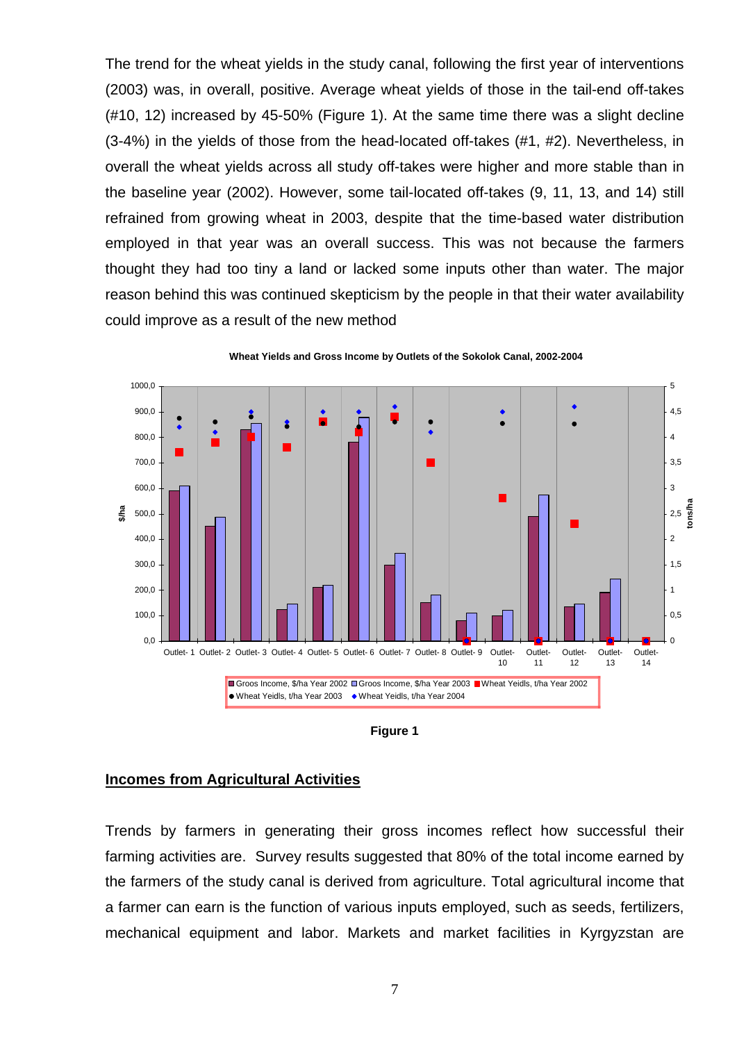The trend for the wheat yields in the study canal, following the first year of interventions (2003) was, in overall, positive. Average wheat yields of those in the tail-end off-takes (#10, 12) increased by 45-50% (Figure 1). At the same time there was a slight decline (3-4%) in the yields of those from the head-located off-takes (#1, #2). Nevertheless, in overall the wheat yields across all study off-takes were higher and more stable than in the baseline year (2002). However, some tail-located off-takes (9, 11, 13, and 14) still refrained from growing wheat in 2003, despite that the time-based water distribution employed in that year was an overall success. This was not because the farmers thought they had too tiny a land or lacked some inputs other than water. The major reason behind this was continued skepticism by the people in that their water availability could improve as a result of the new method



**Wheat Yields and Gross Income by Outlets of the Sokolok Canal, 2002-2004**

**Figure 1** 

### **Incomes from Agricultural Activities**

Trends by farmers in generating their gross incomes reflect how successful their farming activities are. Survey results suggested that 80% of the total income earned by the farmers of the study canal is derived from agriculture. Total agricultural income that a farmer can earn is the function of various inputs employed, such as seeds, fertilizers, mechanical equipment and labor. Markets and market facilities in Kyrgyzstan are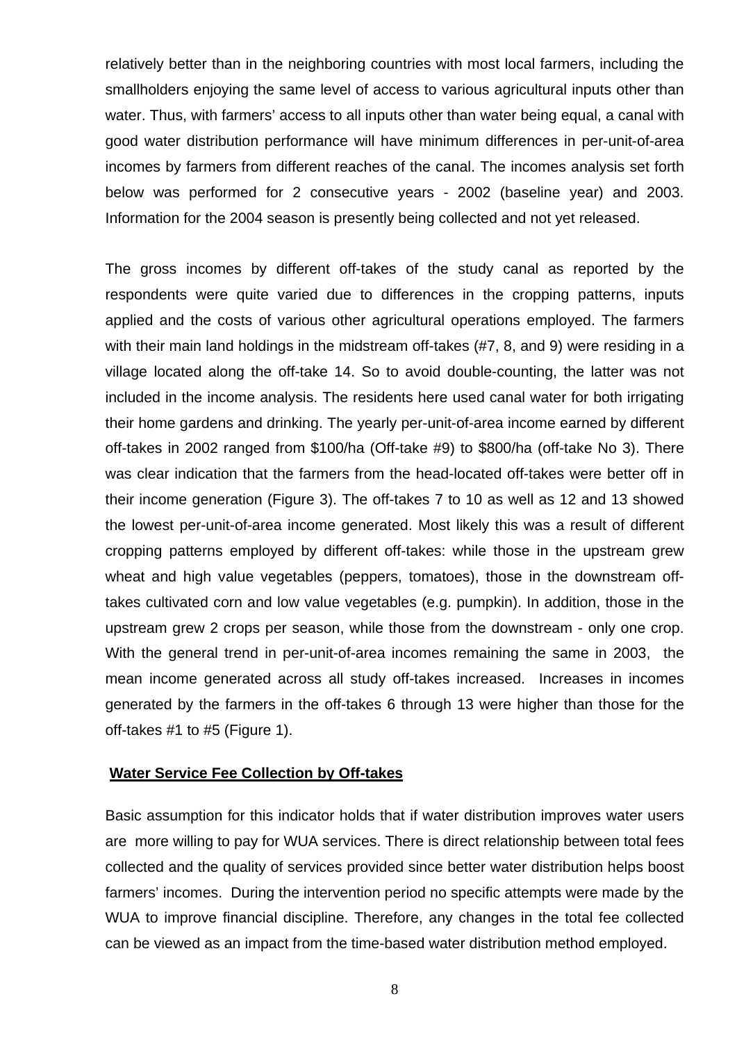relatively better than in the neighboring countries with most local farmers, including the smallholders enjoying the same level of access to various agricultural inputs other than water. Thus, with farmers' access to all inputs other than water being equal, a canal with good water distribution performance will have minimum differences in per-unit-of-area incomes by farmers from different reaches of the canal. The incomes analysis set forth below was performed for 2 consecutive years - 2002 (baseline year) and 2003. Information for the 2004 season is presently being collected and not yet released.

The gross incomes by different off-takes of the study canal as reported by the respondents were quite varied due to differences in the cropping patterns, inputs applied and the costs of various other agricultural operations employed. The farmers with their main land holdings in the midstream off-takes (#7, 8, and 9) were residing in a village located along the off-take 14. So to avoid double-counting, the latter was not included in the income analysis. The residents here used canal water for both irrigating their home gardens and drinking. The yearly per-unit-of-area income earned by different off-takes in 2002 ranged from \$100/ha (Off-take #9) to \$800/ha (off-take No 3). There was clear indication that the farmers from the head-located off-takes were better off in their income generation (Figure 3). The off-takes 7 to 10 as well as 12 and 13 showed the lowest per-unit-of-area income generated. Most likely this was a result of different cropping patterns employed by different off-takes: while those in the upstream grew wheat and high value vegetables (peppers, tomatoes), those in the downstream offtakes cultivated corn and low value vegetables (e.g. pumpkin). In addition, those in the upstream grew 2 crops per season, while those from the downstream - only one crop. With the general trend in per-unit-of-area incomes remaining the same in 2003, the mean income generated across all study off-takes increased. Increases in incomes generated by the farmers in the off-takes 6 through 13 were higher than those for the off-takes #1 to #5 (Figure 1).

## **Water Service Fee Collection by Off-takes**

Basic assumption for this indicator holds that if water distribution improves water users are more willing to pay for WUA services. There is direct relationship between total fees collected and the quality of services provided since better water distribution helps boost farmers' incomes. During the intervention period no specific attempts were made by the WUA to improve financial discipline. Therefore, any changes in the total fee collected can be viewed as an impact from the time-based water distribution method employed.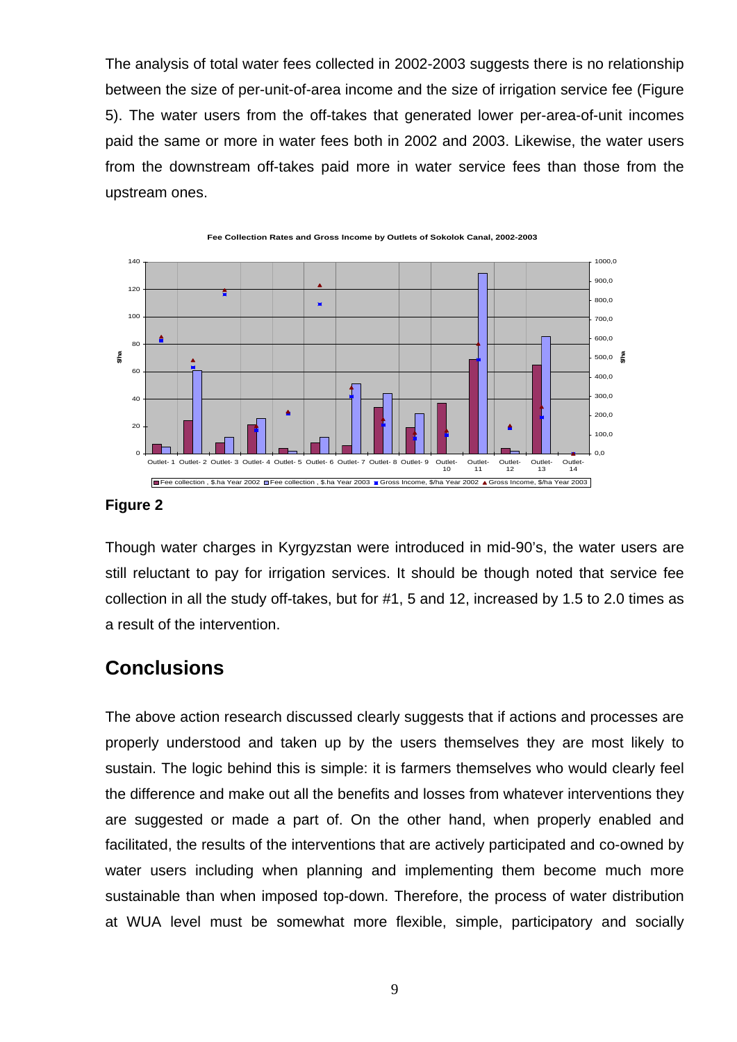The analysis of total water fees collected in 2002-2003 suggests there is no relationship between the size of per-unit-of-area income and the size of irrigation service fee (Figure 5). The water users from the off-takes that generated lower per-area-of-unit incomes paid the same or more in water fees both in 2002 and 2003. Likewise, the water users from the downstream off-takes paid more in water service fees than those from the upstream ones.



**Fee Collection Rates and Gross Income by Outlets of Sokolok Canal, 2002-2003**

### **Figure 2**

Though water charges in Kyrgyzstan were introduced in mid-90's, the water users are still reluctant to pay for irrigation services. It should be though noted that service fee collection in all the study off-takes, but for #1, 5 and 12, increased by 1.5 to 2.0 times as a result of the intervention.

## **Conclusions**

The above action research discussed clearly suggests that if actions and processes are properly understood and taken up by the users themselves they are most likely to sustain. The logic behind this is simple: it is farmers themselves who would clearly feel the difference and make out all the benefits and losses from whatever interventions they are suggested or made a part of. On the other hand, when properly enabled and facilitated, the results of the interventions that are actively participated and co-owned by water users including when planning and implementing them become much more sustainable than when imposed top-down. Therefore, the process of water distribution at WUA level must be somewhat more flexible, simple, participatory and socially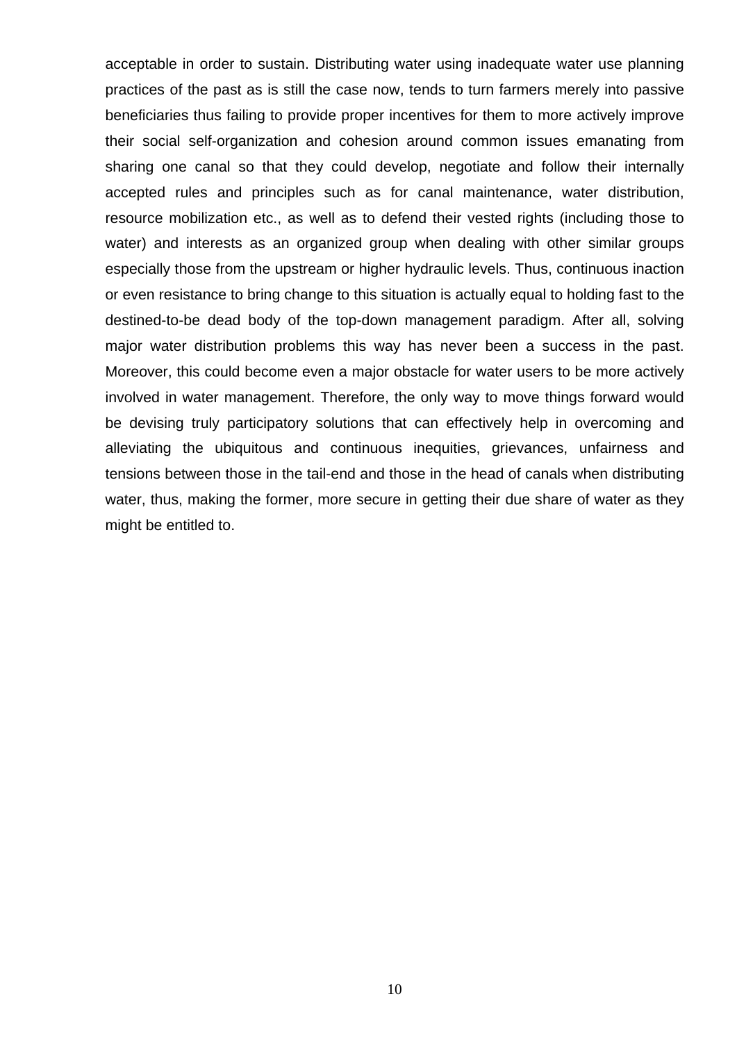acceptable in order to sustain. Distributing water using inadequate water use planning practices of the past as is still the case now, tends to turn farmers merely into passive beneficiaries thus failing to provide proper incentives for them to more actively improve their social self-organization and cohesion around common issues emanating from sharing one canal so that they could develop, negotiate and follow their internally accepted rules and principles such as for canal maintenance, water distribution, resource mobilization etc., as well as to defend their vested rights (including those to water) and interests as an organized group when dealing with other similar groups especially those from the upstream or higher hydraulic levels. Thus, continuous inaction or even resistance to bring change to this situation is actually equal to holding fast to the destined-to-be dead body of the top-down management paradigm. After all, solving major water distribution problems this way has never been a success in the past. Moreover, this could become even a major obstacle for water users to be more actively involved in water management. Therefore, the only way to move things forward would be devising truly participatory solutions that can effectively help in overcoming and alleviating the ubiquitous and continuous inequities, grievances, unfairness and tensions between those in the tail-end and those in the head of canals when distributing water, thus, making the former, more secure in getting their due share of water as they might be entitled to.